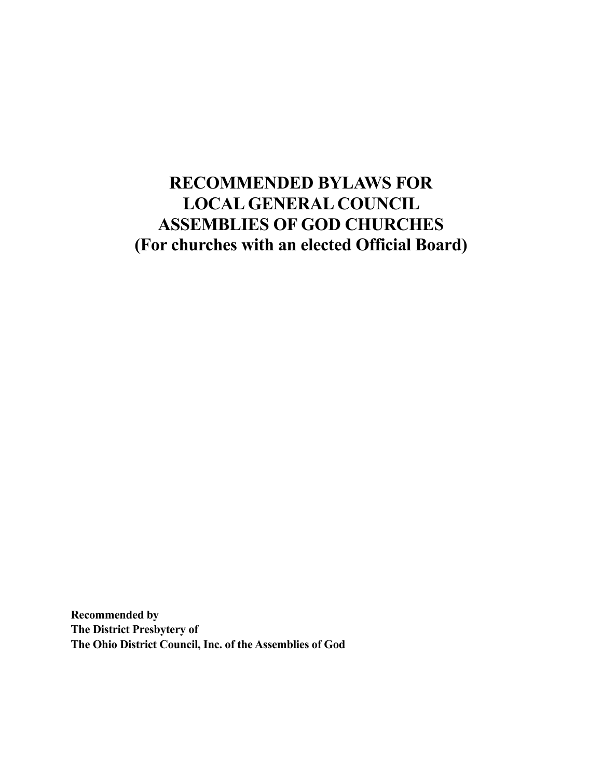# **RECOMMENDED BYLAWS FOR LOCAL GENERAL COUNCIL ASSEMBLIES OF GOD CHURCHES (For churches with an elected Official Board)**

**Recommended by The District Presbytery of The Ohio District Council, Inc. of the Assemblies of God**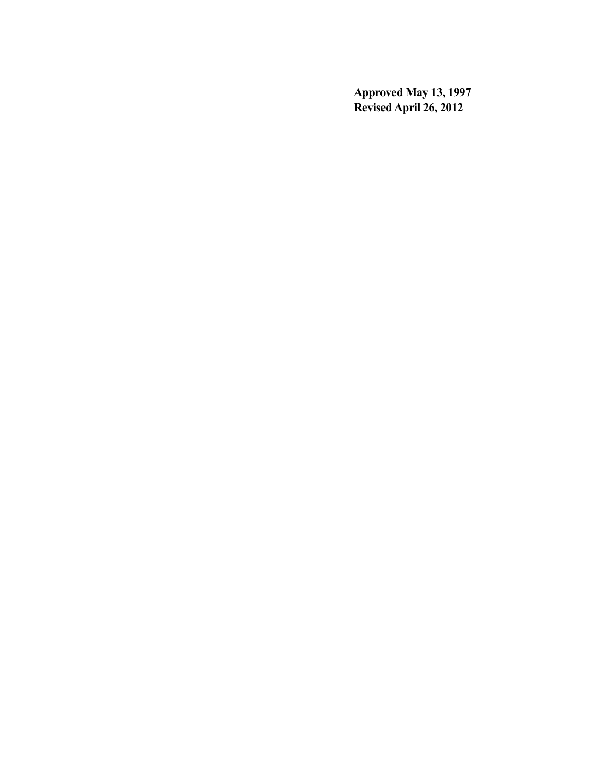**Approved May 13, 1997 Revised April 26, 2012**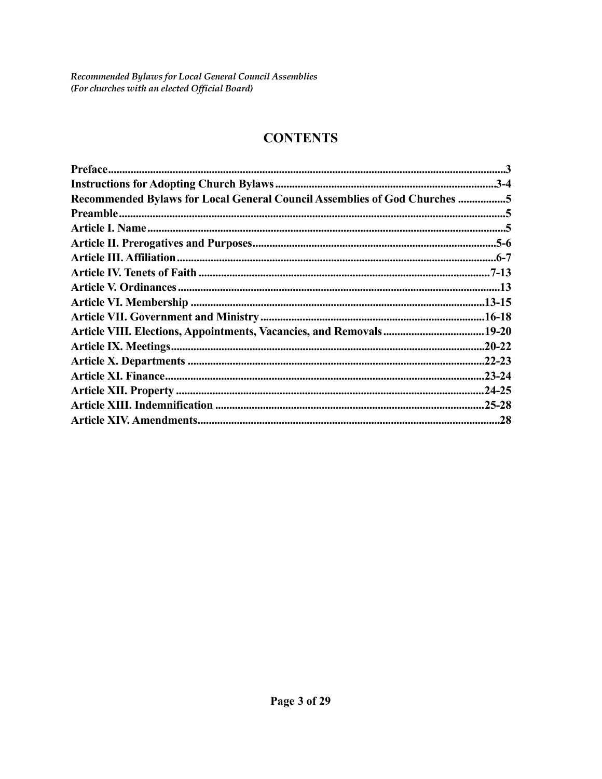# **CONTENTS**

| Recommended Bylaws for Local General Council Assemblies of God Churches 5 |            |
|---------------------------------------------------------------------------|------------|
|                                                                           |            |
|                                                                           |            |
|                                                                           |            |
|                                                                           |            |
|                                                                           |            |
|                                                                           |            |
|                                                                           |            |
|                                                                           |            |
|                                                                           |            |
|                                                                           |            |
|                                                                           | .22-23     |
|                                                                           | .23-24     |
|                                                                           | .24-25     |
|                                                                           | $.25 - 28$ |
|                                                                           |            |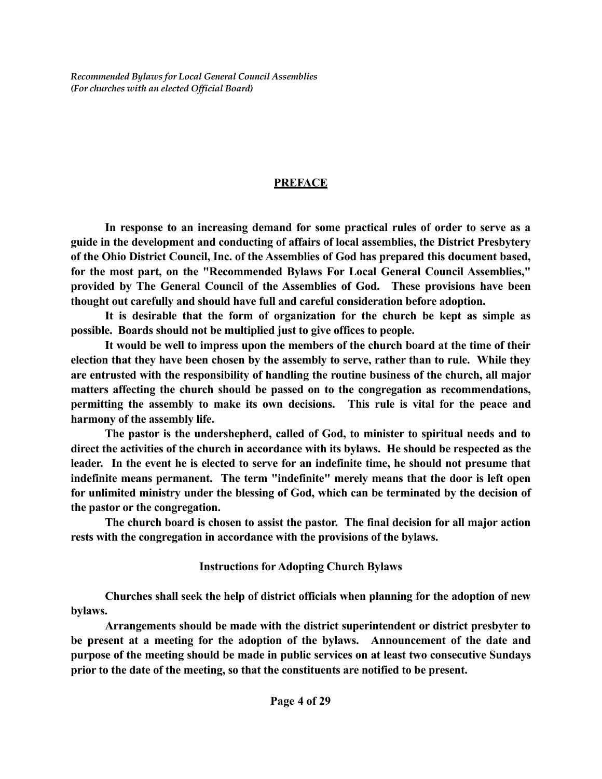### **PREFACE**

 **In response to an increasing demand for some practical rules of order to serve as a guide in the development and conducting of affairs of local assemblies, the District Presbytery of the Ohio District Council, Inc. of the Assemblies of God has prepared this document based, for the most part, on the "Recommended Bylaws For Local General Council Assemblies," provided by The General Council of the Assemblies of God. These provisions have been thought out carefully and should have full and careful consideration before adoption.** 

 **It is desirable that the form of organization for the church be kept as simple as possible. Boards should not be multiplied just to give offices to people.** 

 **It would be well to impress upon the members of the church board at the time of their election that they have been chosen by the assembly to serve, rather than to rule. While they are entrusted with the responsibility of handling the routine business of the church, all major matters affecting the church should be passed on to the congregation as recommendations, permitting the assembly to make its own decisions. This rule is vital for the peace and harmony of the assembly life.** 

 **The pastor is the undershepherd, called of God, to minister to spiritual needs and to direct the activities of the church in accordance with its bylaws. He should be respected as the leader. In the event he is elected to serve for an indefinite time, he should not presume that indefinite means permanent. The term "indefinite" merely means that the door is left open for unlimited ministry under the blessing of God, which can be terminated by the decision of the pastor or the congregation.** 

 **The church board is chosen to assist the pastor. The final decision for all major action rests with the congregation in accordance with the provisions of the bylaws.** 

### **Instructions for Adopting Church Bylaws**

 **Churches shall seek the help of district officials when planning for the adoption of new bylaws.** 

 **Arrangements should be made with the district superintendent or district presbyter to be present at a meeting for the adoption of the bylaws. Announcement of the date and purpose of the meeting should be made in public services on at least two consecutive Sundays prior to the date of the meeting, so that the constituents are notified to be present.**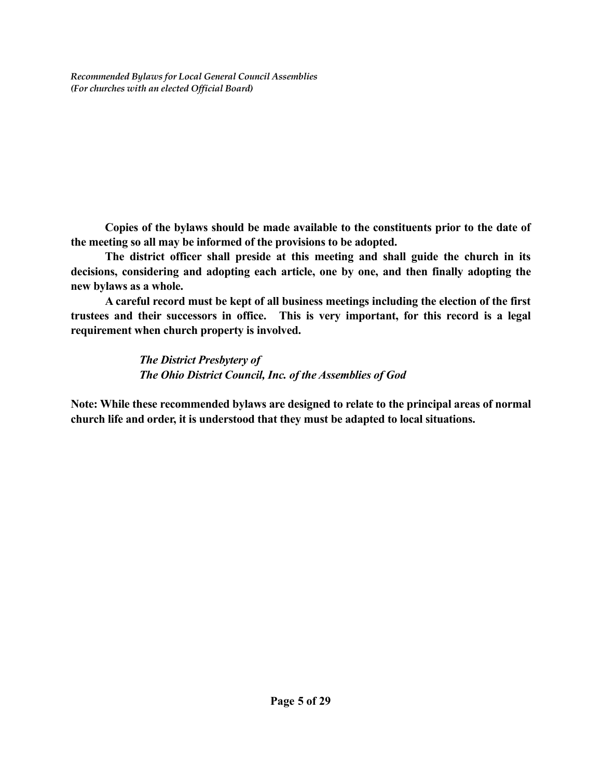**Copies of the bylaws should be made available to the constituents prior to the date of the meeting so all may be informed of the provisions to be adopted.** 

 **The district officer shall preside at this meeting and shall guide the church in its decisions, considering and adopting each article, one by one, and then finally adopting the new bylaws as a whole.** 

 **A careful record must be kept of all business meetings including the election of the first trustees and their successors in office. This is very important, for this record is a legal requirement when church property is involved.** 

> *The District Presbytery of The Ohio District Council, Inc. of the Assemblies of God*

**Note: While these recommended bylaws are designed to relate to the principal areas of normal church life and order, it is understood that they must be adapted to local situations.**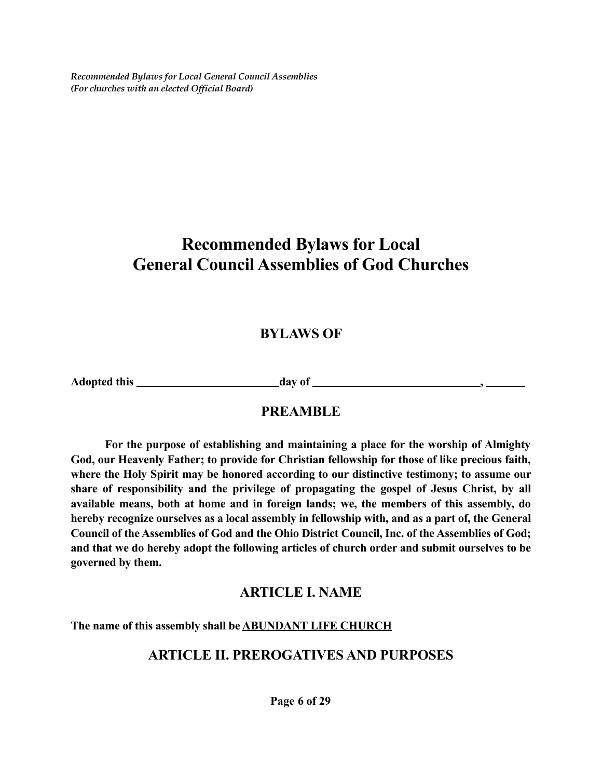# **Recommended Bylaws for Local General Council Assemblies of God Churches**

## **BYLAWS OF**

**Adopted this day of ,** 

## **PREAMBLE**

 **For the purpose of establishing and maintaining a place for the worship of Almighty God, our Heavenly Father; to provide for Christian fellowship for those of like precious faith, where the Holy Spirit may be honored according to our distinctive testimony; to assume our share of responsibility and the privilege of propagating the gospel of Jesus Christ, by all available means, both at home and in foreign lands; we, the members of this assembly, do hereby recognize ourselves as a local assembly in fellowship with, and as a part of, the General Council of the Assemblies of God and the Ohio District Council, Inc. of the Assemblies of God; and that we do hereby adopt the following articles of church order and submit ourselves to be governed by them.** 

## **ARTICLE I. NAME**

**The name of this assembly shall be ABUNDANT LIFE CHURCH** 

## **ARTICLE II. PREROGATIVES AND PURPOSES**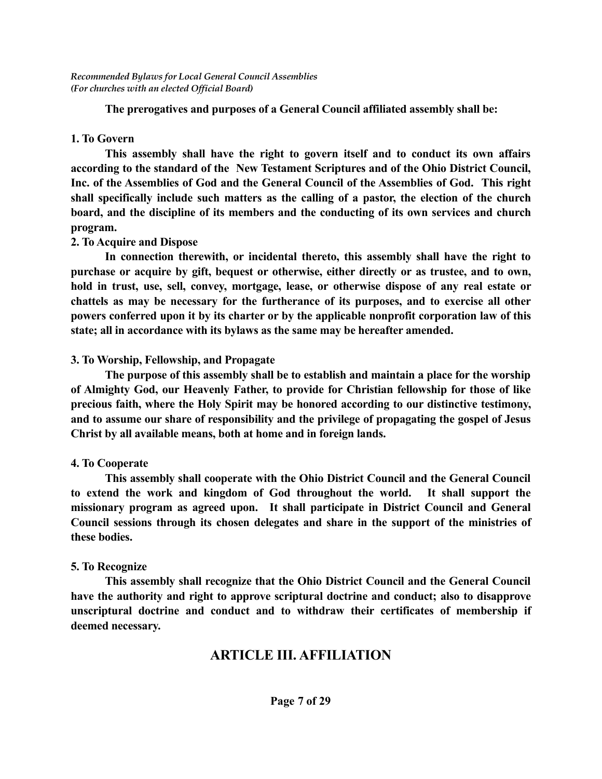**The prerogatives and purposes of a General Council affiliated assembly shall be:** 

### **1. To Govern**

 **This assembly shall have the right to govern itself and to conduct its own affairs according to the standard of the New Testament Scriptures and of the Ohio District Council, Inc. of the Assemblies of God and the General Council of the Assemblies of God. This right shall specifically include such matters as the calling of a pastor, the election of the church board, and the discipline of its members and the conducting of its own services and church program.** 

### **2. To Acquire and Dispose**

 **In connection therewith, or incidental thereto, this assembly shall have the right to purchase or acquire by gift, bequest or otherwise, either directly or as trustee, and to own, hold in trust, use, sell, convey, mortgage, lease, or otherwise dispose of any real estate or chattels as may be necessary for the furtherance of its purposes, and to exercise all other powers conferred upon it by its charter or by the applicable nonprofit corporation law of this state; all in accordance with its bylaws as the same may be hereafter amended.** 

### **3. To Worship, Fellowship, and Propagate**

 **The purpose of this assembly shall be to establish and maintain a place for the worship of Almighty God, our Heavenly Father, to provide for Christian fellowship for those of like precious faith, where the Holy Spirit may be honored according to our distinctive testimony, and to assume our share of responsibility and the privilege of propagating the gospel of Jesus Christ by all available means, both at home and in foreign lands.** 

### **4. To Cooperate**

 **This assembly shall cooperate with the Ohio District Council and the General Council to extend the work and kingdom of God throughout the world. It shall support the missionary program as agreed upon. It shall participate in District Council and General Council sessions through its chosen delegates and share in the support of the ministries of these bodies.** 

## **5. To Recognize**

 **This assembly shall recognize that the Ohio District Council and the General Council have the authority and right to approve scriptural doctrine and conduct; also to disapprove unscriptural doctrine and conduct and to withdraw their certificates of membership if deemed necessary.** 

# **ARTICLE III. AFFILIATION**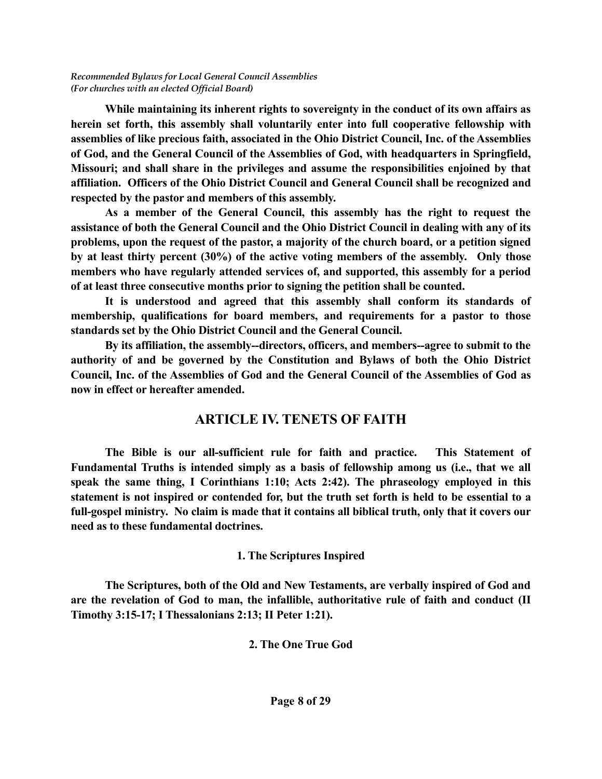**While maintaining its inherent rights to sovereignty in the conduct of its own affairs as herein set forth, this assembly shall voluntarily enter into full cooperative fellowship with assemblies of like precious faith, associated in the Ohio District Council, Inc. of the Assemblies of God, and the General Council of the Assemblies of God, with headquarters in Springfield, Missouri; and shall share in the privileges and assume the responsibilities enjoined by that affiliation. Officers of the Ohio District Council and General Council shall be recognized and respected by the pastor and members of this assembly.** 

 **As a member of the General Council, this assembly has the right to request the assistance of both the General Council and the Ohio District Council in dealing with any of its problems, upon the request of the pastor, a majority of the church board, or a petition signed by at least thirty percent (30%) of the active voting members of the assembly. Only those members who have regularly attended services of, and supported, this assembly for a period of at least three consecutive months prior to signing the petition shall be counted.** 

 **It is understood and agreed that this assembly shall conform its standards of membership, qualifications for board members, and requirements for a pastor to those standards set by the Ohio District Council and the General Council.** 

 **By its affiliation, the assembly--directors, officers, and members--agree to submit to the authority of and be governed by the Constitution and Bylaws of both the Ohio District Council, Inc. of the Assemblies of God and the General Council of the Assemblies of God as now in effect or hereafter amended.** 

## **ARTICLE IV. TENETS OF FAITH**

 **The Bible is our all-sufficient rule for faith and practice. This Statement of Fundamental Truths is intended simply as a basis of fellowship among us (i.e., that we all speak the same thing, I Corinthians 1:10; Acts 2:42). The phraseology employed in this statement is not inspired or contended for, but the truth set forth is held to be essential to a full-gospel ministry. No claim is made that it contains all biblical truth, only that it covers our need as to these fundamental doctrines.** 

### **1. The Scriptures Inspired**

 **The Scriptures, both of the Old and New Testaments, are verbally inspired of God and are the revelation of God to man, the infallible, authoritative rule of faith and conduct (II Timothy 3:15-17; I Thessalonians 2:13; II Peter 1:21).** 

 **2. The One True God**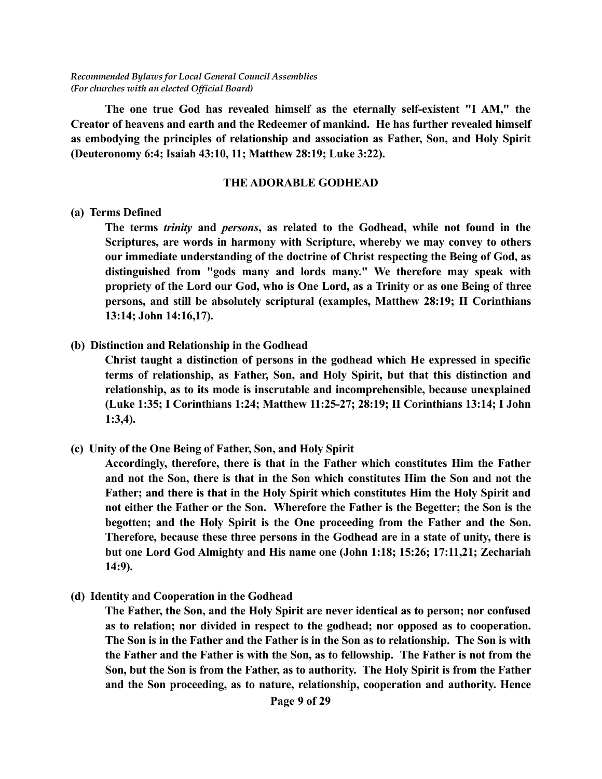**The one true God has revealed himself as the eternally self-existent "I AM," the Creator of heavens and earth and the Redeemer of mankind. He has further revealed himself as embodying the principles of relationship and association as Father, Son, and Holy Spirit (Deuteronomy 6:4; Isaiah 43:10, 11; Matthew 28:19; Luke 3:22).** 

#### **THE ADORABLE GODHEAD**

**(a) Terms Defined** 

 **The terms** *trinity* **and** *persons***, as related to the Godhead, while not found in the Scriptures, are words in harmony with Scripture, whereby we may convey to others our immediate understanding of the doctrine of Christ respecting the Being of God, as distinguished from "gods many and lords many." We therefore may speak with propriety of the Lord our God, who is One Lord, as a Trinity or as one Being of three persons, and still be absolutely scriptural (examples, Matthew 28:19; II Corinthians 13:14; John 14:16,17).** 

**(b) Distinction and Relationship in the Godhead** 

 **Christ taught a distinction of persons in the godhead which He expressed in specific terms of relationship, as Father, Son, and Holy Spirit, but that this distinction and relationship, as to its mode is inscrutable and incomprehensible, because unexplained (Luke 1:35; I Corinthians 1:24; Matthew 11:25-27; 28:19; II Corinthians 13:14; I John 1:3,4).** 

**(c) Unity of the One Being of Father, Son, and Holy Spirit** 

 **Accordingly, therefore, there is that in the Father which constitutes Him the Father and not the Son, there is that in the Son which constitutes Him the Son and not the Father; and there is that in the Holy Spirit which constitutes Him the Holy Spirit and not either the Father or the Son. Wherefore the Father is the Begetter; the Son is the begotten; and the Holy Spirit is the One proceeding from the Father and the Son. Therefore, because these three persons in the Godhead are in a state of unity, there is but one Lord God Almighty and His name one (John 1:18; 15:26; 17:11,21; Zechariah 14:9).** 

**(d) Identity and Cooperation in the Godhead** 

 **The Father, the Son, and the Holy Spirit are never identical as to person; nor confused as to relation; nor divided in respect to the godhead; nor opposed as to cooperation. The Son is in the Father and the Father is in the Son as to relationship. The Son is with the Father and the Father is with the Son, as to fellowship. The Father is not from the Son, but the Son is from the Father, as to authority. The Holy Spirit is from the Father and the Son proceeding, as to nature, relationship, cooperation and authority. Hence**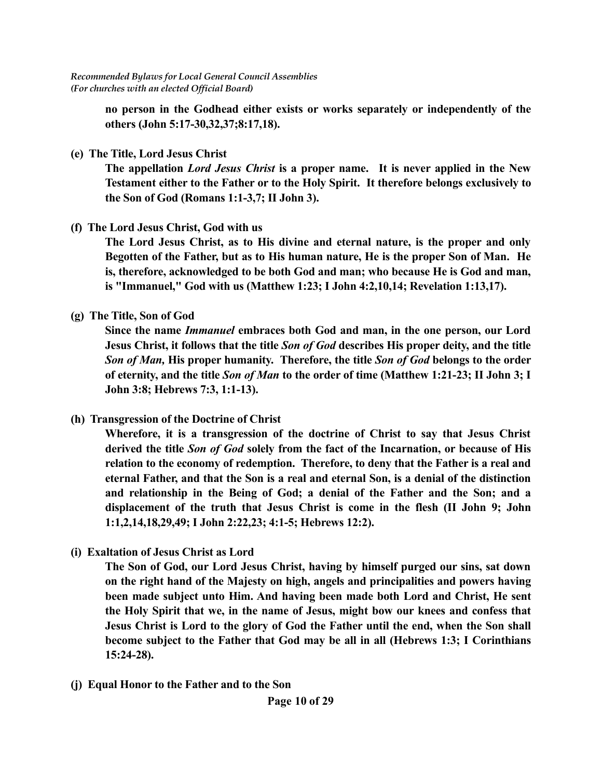**no person in the Godhead either exists or works separately or independently of the others (John 5:17-30,32,37;8:17,18).** 

**(e) The Title, Lord Jesus Christ** 

 **The appellation** *Lord Jesus Christ* **is a proper name. It is never applied in the New Testament either to the Father or to the Holy Spirit. It therefore belongs exclusively to the Son of God (Romans 1:1-3,7; II John 3).** 

**(f) The Lord Jesus Christ, God with us** 

 **The Lord Jesus Christ, as to His divine and eternal nature, is the proper and only Begotten of the Father, but as to His human nature, He is the proper Son of Man. He is, therefore, acknowledged to be both God and man; who because He is God and man, is "Immanuel," God with us (Matthew 1:23; I John 4:2,10,14; Revelation 1:13,17).** 

**(g) The Title, Son of God** 

 **Since the name** *Immanuel* **embraces both God and man, in the one person, our Lord Jesus Christ, it follows that the title** *Son of God* **describes His proper deity, and the title**  *Son of Man,* **His proper humanity. Therefore, the title** *Son of God* **belongs to the order of eternity, and the title** *Son of Man* **to the order of time (Matthew 1:21-23; II John 3; I John 3:8; Hebrews 7:3, 1:1-13).** 

**(h) Transgression of the Doctrine of Christ** 

 **Wherefore, it is a transgression of the doctrine of Christ to say that Jesus Christ derived the title** *Son of God* **solely from the fact of the Incarnation, or because of His relation to the economy of redemption. Therefore, to deny that the Father is a real and eternal Father, and that the Son is a real and eternal Son, is a denial of the distinction and relationship in the Being of God; a denial of the Father and the Son; and a displacement of the truth that Jesus Christ is come in the flesh (II John 9; John 1:1,2,14,18,29,49; I John 2:22,23; 4:1-5; Hebrews 12:2).** 

**(i) Exaltation of Jesus Christ as Lord** 

 **The Son of God, our Lord Jesus Christ, having by himself purged our sins, sat down on the right hand of the Majesty on high, angels and principalities and powers having been made subject unto Him. And having been made both Lord and Christ, He sent the Holy Spirit that we, in the name of Jesus, might bow our knees and confess that Jesus Christ is Lord to the glory of God the Father until the end, when the Son shall become subject to the Father that God may be all in all (Hebrews 1:3; I Corinthians 15:24-28).** 

**(j) Equal Honor to the Father and to the Son**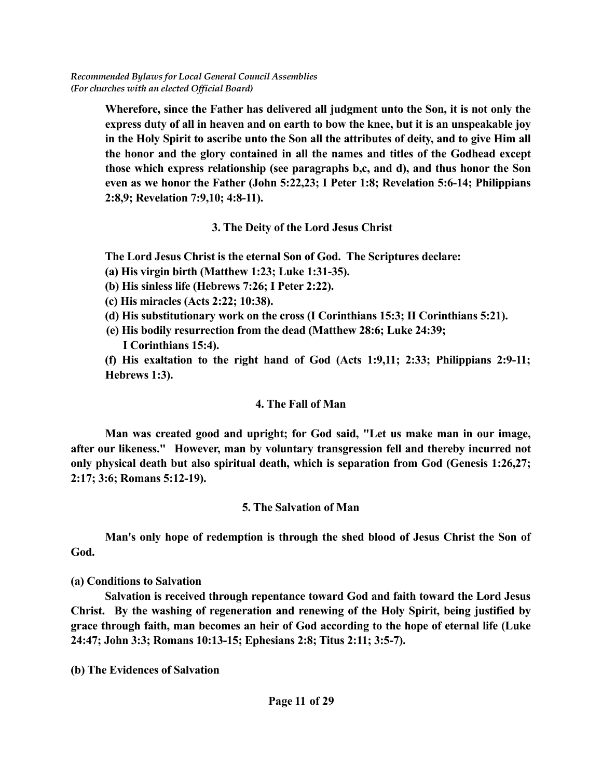**Wherefore, since the Father has delivered all judgment unto the Son, it is not only the express duty of all in heaven and on earth to bow the knee, but it is an unspeakable joy in the Holy Spirit to ascribe unto the Son all the attributes of deity, and to give Him all the honor and the glory contained in all the names and titles of the Godhead except those which express relationship (see paragraphs b,c, and d), and thus honor the Son even as we honor the Father (John 5:22,23; I Peter 1:8; Revelation 5:6-14; Philippians 2:8,9; Revelation 7:9,10; 4:8-11).** 

 **3. The Deity of the Lord Jesus Christ** 

 **The Lord Jesus Christ is the eternal Son of God. The Scriptures declare:** 

 **(a) His virgin birth (Matthew 1:23; Luke 1:31-35).** 

 **(b) His sinless life (Hebrews 7:26; I Peter 2:22).** 

 **(c) His miracles (Acts 2:22; 10:38).** 

 **(d) His substitutionary work on the cross (I Corinthians 15:3; II Corinthians 5:21).** 

 **(e) His bodily resurrection from the dead (Matthew 28:6; Luke 24:39;** 

 **I Corinthians 15:4).** 

 **(f) His exaltation to the right hand of God (Acts 1:9,11; 2:33; Philippians 2:9-11; Hebrews 1:3).** 

### **4. The Fall of Man**

 **Man was created good and upright; for God said, "Let us make man in our image, after our likeness." However, man by voluntary transgression fell and thereby incurred not only physical death but also spiritual death, which is separation from God (Genesis 1:26,27; 2:17; 3:6; Romans 5:12-19).** 

### **5. The Salvation of Man**

 **Man's only hope of redemption is through the shed blood of Jesus Christ the Son of God.** 

### **(a) Conditions to Salvation**

 **Salvation is received through repentance toward God and faith toward the Lord Jesus Christ. By the washing of regeneration and renewing of the Holy Spirit, being justified by grace through faith, man becomes an heir of God according to the hope of eternal life (Luke 24:47; John 3:3; Romans 10:13-15; Ephesians 2:8; Titus 2:11; 3:5-7).** 

**(b) The Evidences of Salvation**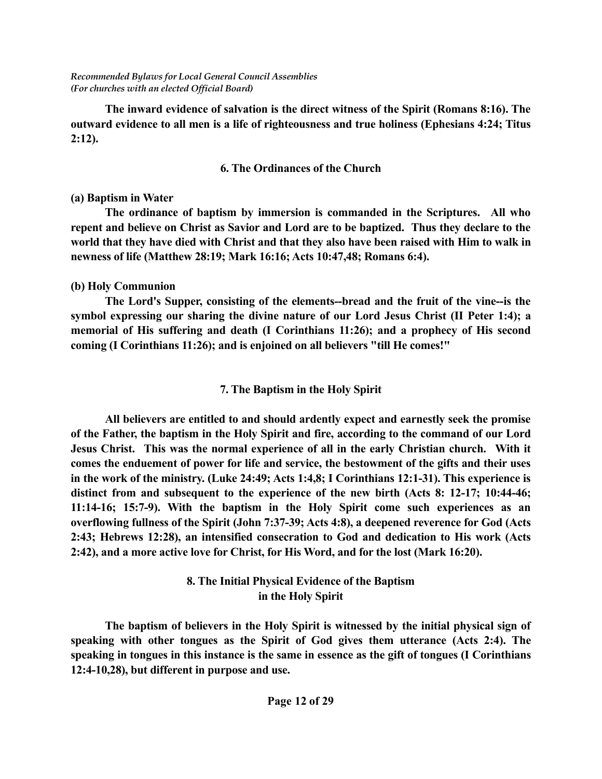**The inward evidence of salvation is the direct witness of the Spirit (Romans 8:16). The outward evidence to all men is a life of righteousness and true holiness (Ephesians 4:24; Titus 2:12).** 

### **6. The Ordinances of the Church**

### **(a) Baptism in Water**

 **The ordinance of baptism by immersion is commanded in the Scriptures. All who repent and believe on Christ as Savior and Lord are to be baptized. Thus they declare to the world that they have died with Christ and that they also have been raised with Him to walk in newness of life (Matthew 28:19; Mark 16:16; Acts 10:47,48; Romans 6:4).** 

### **(b) Holy Communion**

 **The Lord's Supper, consisting of the elements--bread and the fruit of the vine--is the symbol expressing our sharing the divine nature of our Lord Jesus Christ (II Peter 1:4); a memorial of His suffering and death (I Corinthians 11:26); and a prophecy of His second coming (I Corinthians 11:26); and is enjoined on all believers "till He comes!"** 

## **7. The Baptism in the Holy Spirit**

 **All believers are entitled to and should ardently expect and earnestly seek the promise of the Father, the baptism in the Holy Spirit and fire, according to the command of our Lord Jesus Christ. This was the normal experience of all in the early Christian church. With it comes the enduement of power for life and service, the bestowment of the gifts and their uses in the work of the ministry. (Luke 24:49; Acts 1:4,8; I Corinthians 12:1-31). This experience is distinct from and subsequent to the experience of the new birth (Acts 8: 12-17; 10:44-46; 11:14-16; 15:7-9). With the baptism in the Holy Spirit come such experiences as an overflowing fullness of the Spirit (John 7:37-39; Acts 4:8), a deepened reverence for God (Acts 2:43; Hebrews 12:28), an intensified consecration to God and dedication to His work (Acts 2:42), and a more active love for Christ, for His Word, and for the lost (Mark 16:20).** 

### **8. The Initial Physical Evidence of the Baptism in the Holy Spirit**

 **The baptism of believers in the Holy Spirit is witnessed by the initial physical sign of speaking with other tongues as the Spirit of God gives them utterance (Acts 2:4). The speaking in tongues in this instance is the same in essence as the gift of tongues (I Corinthians 12:4-10,28), but different in purpose and use.**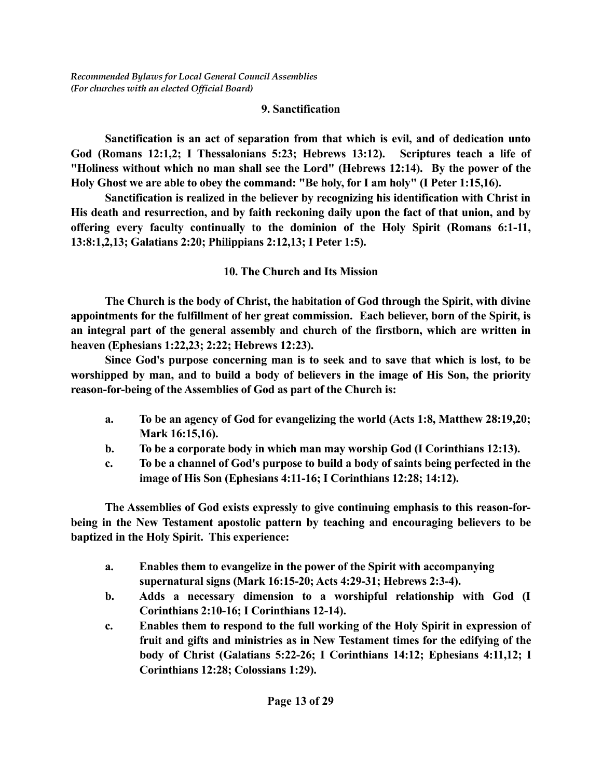### **9. Sanctification**

 **Sanctification is an act of separation from that which is evil, and of dedication unto God (Romans 12:1,2; I Thessalonians 5:23; Hebrews 13:12). Scriptures teach a life of "Holiness without which no man shall see the Lord" (Hebrews 12:14). By the power of the Holy Ghost we are able to obey the command: "Be holy, for I am holy" (I Peter 1:15,16).** 

 **Sanctification is realized in the believer by recognizing his identification with Christ in His death and resurrection, and by faith reckoning daily upon the fact of that union, and by offering every faculty continually to the dominion of the Holy Spirit (Romans 6:1-11, 13:8:1,2,13; Galatians 2:20; Philippians 2:12,13; I Peter 1:5).** 

### **10. The Church and Its Mission**

 **The Church is the body of Christ, the habitation of God through the Spirit, with divine appointments for the fulfillment of her great commission. Each believer, born of the Spirit, is an integral part of the general assembly and church of the firstborn, which are written in heaven (Ephesians 1:22,23; 2:22; Hebrews 12:23).** 

 **Since God's purpose concerning man is to seek and to save that which is lost, to be worshipped by man, and to build a body of believers in the image of His Son, the priority reason-for-being of the Assemblies of God as part of the Church is:** 

- **a. To be an agency of God for evangelizing the world (Acts 1:8, Matthew 28:19,20; Mark 16:15,16).**
- **b.** To be a corporate body in which man may worship God (I Corinthians 12:13).
- **c. To be a channel of God's purpose to build a body of saints being perfected in the image of His Son (Ephesians 4:11-16; I Corinthians 12:28; 14:12).**

 **The Assemblies of God exists expressly to give continuing emphasis to this reason-forbeing in the New Testament apostolic pattern by teaching and encouraging believers to be baptized in the Holy Spirit. This experience:** 

- **a. Enables them to evangelize in the power of the Spirit with accompanying supernatural signs (Mark 16:15-20; Acts 4:29-31; Hebrews 2:3-4).**
- **b. Adds a necessary dimension to a worshipful relationship with God (I Corinthians 2:10-16; I Corinthians 12-14).**
- **c. Enables them to respond to the full working of the Holy Spirit in expression of fruit and gifts and ministries as in New Testament times for the edifying of the body of Christ (Galatians 5:22-26; I Corinthians 14:12; Ephesians 4:11,12; I Corinthians 12:28; Colossians 1:29).**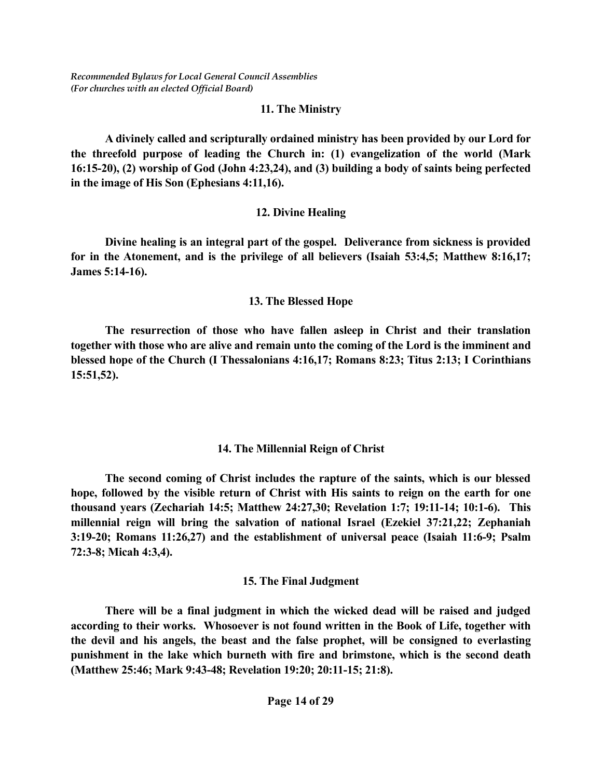#### **11. The Ministry**

 **A divinely called and scripturally ordained ministry has been provided by our Lord for the threefold purpose of leading the Church in: (1) evangelization of the world (Mark 16:15-20), (2) worship of God (John 4:23,24), and (3) building a body of saints being perfected in the image of His Son (Ephesians 4:11,16).** 

#### **12. Divine Healing**

 **Divine healing is an integral part of the gospel. Deliverance from sickness is provided for in the Atonement, and is the privilege of all believers (Isaiah 53:4,5; Matthew 8:16,17; James 5:14-16).** 

#### **13. The Blessed Hope**

 **The resurrection of those who have fallen asleep in Christ and their translation together with those who are alive and remain unto the coming of the Lord is the imminent and blessed hope of the Church (I Thessalonians 4:16,17; Romans 8:23; Titus 2:13; I Corinthians 15:51,52).** 

### **14. The Millennial Reign of Christ**

 **The second coming of Christ includes the rapture of the saints, which is our blessed hope, followed by the visible return of Christ with His saints to reign on the earth for one thousand years (Zechariah 14:5; Matthew 24:27,30; Revelation 1:7; 19:11-14; 10:1-6). This millennial reign will bring the salvation of national Israel (Ezekiel 37:21,22; Zephaniah 3:19-20; Romans 11:26,27) and the establishment of universal peace (Isaiah 11:6-9; Psalm 72:3-8; Micah 4:3,4).** 

#### **15. The Final Judgment**

 **There will be a final judgment in which the wicked dead will be raised and judged according to their works. Whosoever is not found written in the Book of Life, together with the devil and his angels, the beast and the false prophet, will be consigned to everlasting punishment in the lake which burneth with fire and brimstone, which is the second death (Matthew 25:46; Mark 9:43-48; Revelation 19:20; 20:11-15; 21:8).**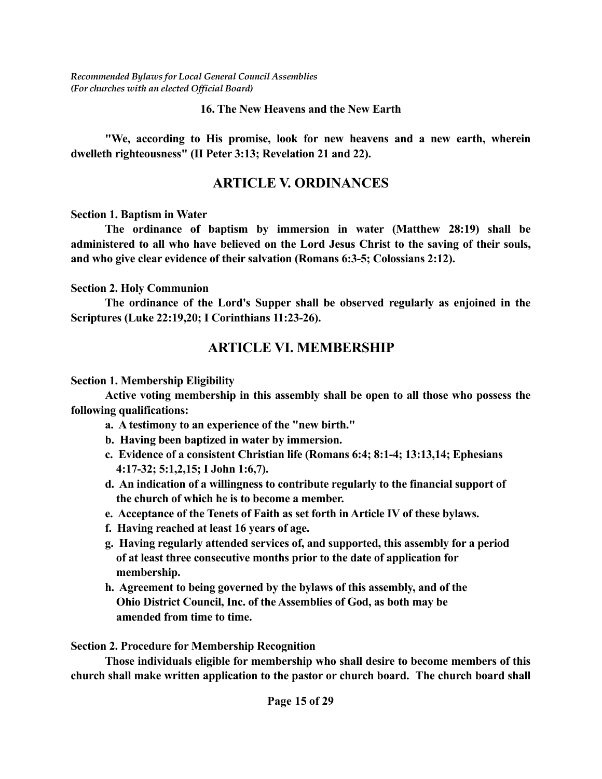#### **16. The New Heavens and the New Earth**

 **"We, according to His promise, look for new heavens and a new earth, wherein dwelleth righteousness" (II Peter 3:13; Revelation 21 and 22).** 

## **ARTICLE V. ORDINANCES**

**Section 1. Baptism in Water** 

 **The ordinance of baptism by immersion in water (Matthew 28:19) shall be administered to all who have believed on the Lord Jesus Christ to the saving of their souls, and who give clear evidence of their salvation (Romans 6:3-5; Colossians 2:12).** 

#### **Section 2. Holy Communion**

 **The ordinance of the Lord's Supper shall be observed regularly as enjoined in the Scriptures (Luke 22:19,20; I Corinthians 11:23-26).** 

## **ARTICLE VI. MEMBERSHIP**

#### **Section 1. Membership Eligibility**

 **Active voting membership in this assembly shall be open to all those who possess the following qualifications:** 

- **a. A testimony to an experience of the "new birth."**
- **b. Having been baptized in water by immersion.**
- **c. Evidence of a consistent Christian life (Romans 6:4; 8:1-4; 13:13,14; Ephesians 4:17-32; 5:1,2,15; I John 1:6,7).**
- **d. An indication of a willingness to contribute regularly to the financial support of the church of which he is to become a member.**
- **e. Acceptance of the Tenets of Faith as set forth in Article IV of these bylaws.**
- **f. Having reached at least 16 years of age.**
- **g. Having regularly attended services of, and supported, this assembly for a period of at least three consecutive months prior to the date of application for membership.**
- **h. Agreement to being governed by the bylaws of this assembly, and of the Ohio District Council, Inc. of the Assemblies of God, as both may be amended from time to time.**

**Section 2. Procedure for Membership Recognition** 

 **Those individuals eligible for membership who shall desire to become members of this church shall make written application to the pastor or church board. The church board shall**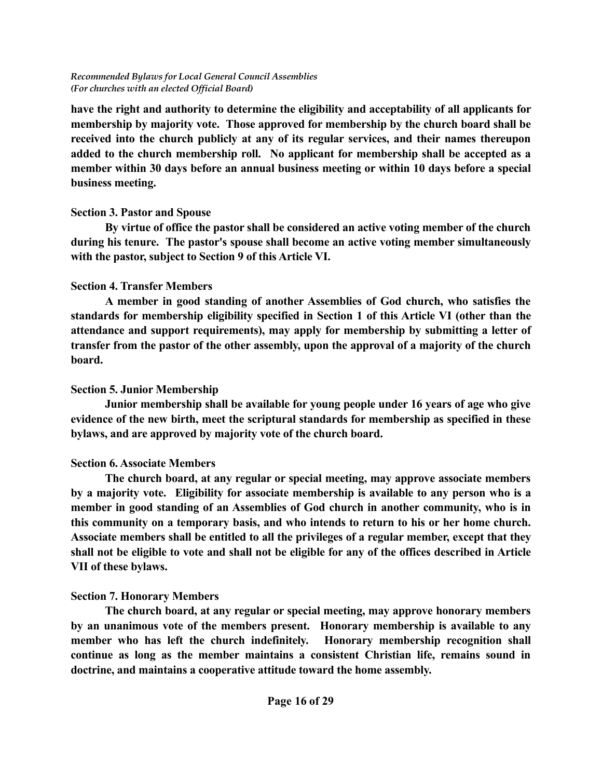**have the right and authority to determine the eligibility and acceptability of all applicants for membership by majority vote. Those approved for membership by the church board shall be received into the church publicly at any of its regular services, and their names thereupon added to the church membership roll. No applicant for membership shall be accepted as a member within 30 days before an annual business meeting or within 10 days before a special business meeting.** 

### **Section 3. Pastor and Spouse**

 **By virtue of office the pastor shall be considered an active voting member of the church during his tenure. The pastor's spouse shall become an active voting member simultaneously with the pastor, subject to Section 9 of this Article VI.** 

### **Section 4. Transfer Members**

 **A member in good standing of another Assemblies of God church, who satisfies the standards for membership eligibility specified in Section 1 of this Article VI (other than the attendance and support requirements), may apply for membership by submitting a letter of transfer from the pastor of the other assembly, upon the approval of a majority of the church board.** 

### **Section 5. Junior Membership**

 **Junior membership shall be available for young people under 16 years of age who give evidence of the new birth, meet the scriptural standards for membership as specified in these bylaws, and are approved by majority vote of the church board.** 

### **Section 6. Associate Members**

 **The church board, at any regular or special meeting, may approve associate members by a majority vote. Eligibility for associate membership is available to any person who is a member in good standing of an Assemblies of God church in another community, who is in this community on a temporary basis, and who intends to return to his or her home church. Associate members shall be entitled to all the privileges of a regular member, except that they shall not be eligible to vote and shall not be eligible for any of the offices described in Article VII of these bylaws.** 

### **Section 7. Honorary Members**

 **The church board, at any regular or special meeting, may approve honorary members by an unanimous vote of the members present. Honorary membership is available to any member who has left the church indefinitely. Honorary membership recognition shall continue as long as the member maintains a consistent Christian life, remains sound in doctrine, and maintains a cooperative attitude toward the home assembly.**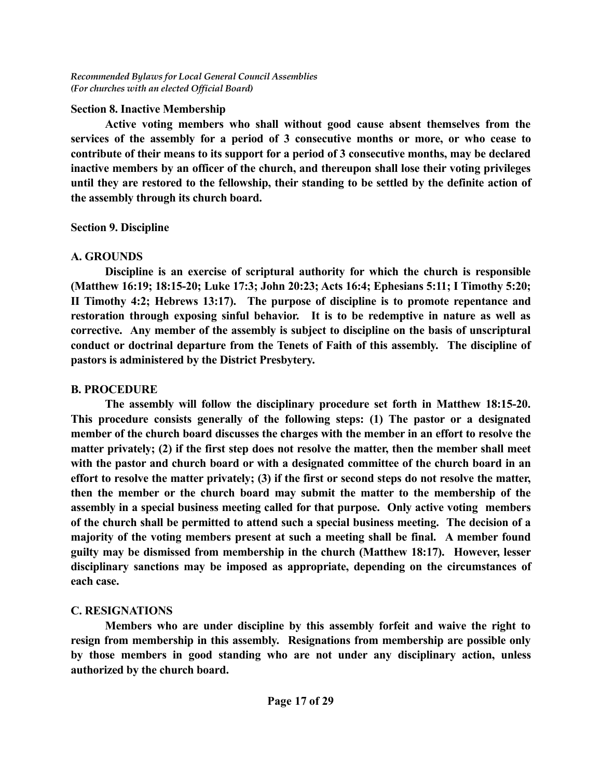#### **Section 8. Inactive Membership**

 **Active voting members who shall without good cause absent themselves from the services of the assembly for a period of 3 consecutive months or more, or who cease to contribute of their means to its support for a period of 3 consecutive months, may be declared inactive members by an officer of the church, and thereupon shall lose their voting privileges until they are restored to the fellowship, their standing to be settled by the definite action of the assembly through its church board.** 

#### **Section 9. Discipline**

### **A. GROUNDS**

 **Discipline is an exercise of scriptural authority for which the church is responsible (Matthew 16:19; 18:15-20; Luke 17:3; John 20:23; Acts 16:4; Ephesians 5:11; I Timothy 5:20; II Timothy 4:2; Hebrews 13:17). The purpose of discipline is to promote repentance and restoration through exposing sinful behavior. It is to be redemptive in nature as well as corrective. Any member of the assembly is subject to discipline on the basis of unscriptural conduct or doctrinal departure from the Tenets of Faith of this assembly. The discipline of pastors is administered by the District Presbytery.** 

#### **B. PROCEDURE**

 **The assembly will follow the disciplinary procedure set forth in Matthew 18:15-20. This procedure consists generally of the following steps: (1) The pastor or a designated member of the church board discusses the charges with the member in an effort to resolve the matter privately; (2) if the first step does not resolve the matter, then the member shall meet with the pastor and church board or with a designated committee of the church board in an effort to resolve the matter privately; (3) if the first or second steps do not resolve the matter, then the member or the church board may submit the matter to the membership of the assembly in a special business meeting called for that purpose. Only active voting members of the church shall be permitted to attend such a special business meeting. The decision of a majority of the voting members present at such a meeting shall be final. A member found guilty may be dismissed from membership in the church (Matthew 18:17). However, lesser disciplinary sanctions may be imposed as appropriate, depending on the circumstances of each case.** 

### **C. RESIGNATIONS**

 **Members who are under discipline by this assembly forfeit and waive the right to resign from membership in this assembly. Resignations from membership are possible only by those members in good standing who are not under any disciplinary action, unless authorized by the church board.**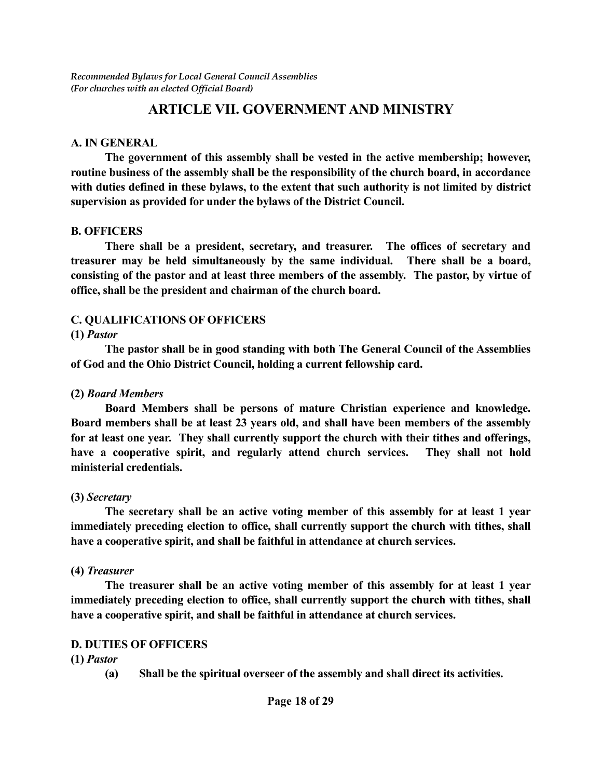## **ARTICLE VII. GOVERNMENT AND MINISTRY**

### **A. IN GENERAL**

 **The government of this assembly shall be vested in the active membership; however, routine business of the assembly shall be the responsibility of the church board, in accordance with duties defined in these bylaws, to the extent that such authority is not limited by district supervision as provided for under the bylaws of the District Council.** 

### **B. OFFICERS**

 **There shall be a president, secretary, and treasurer. The offices of secretary and treasurer may be held simultaneously by the same individual. There shall be a board, consisting of the pastor and at least three members of the assembly. The pastor, by virtue of office, shall be the president and chairman of the church board.** 

### **C. QUALIFICATIONS OF OFFICERS**

### **(1)** *Pastor*

 **The pastor shall be in good standing with both The General Council of the Assemblies of God and the Ohio District Council, holding a current fellowship card.** 

### **(2)** *Board Members*

 **Board Members shall be persons of mature Christian experience and knowledge. Board members shall be at least 23 years old, and shall have been members of the assembly for at least one year. They shall currently support the church with their tithes and offerings, have a cooperative spirit, and regularly attend church services. They shall not hold ministerial credentials.** 

### **(3)** *Secretary*

 **The secretary shall be an active voting member of this assembly for at least 1 year immediately preceding election to office, shall currently support the church with tithes, shall have a cooperative spirit, and shall be faithful in attendance at church services.** 

### **(4)** *Treasurer*

 **The treasurer shall be an active voting member of this assembly for at least 1 year immediately preceding election to office, shall currently support the church with tithes, shall have a cooperative spirit, and shall be faithful in attendance at church services.** 

### **D. DUTIES OF OFFICERS**

**(1)** *Pastor* 

 **(a) Shall be the spiritual overseer of the assembly and shall direct its activities.**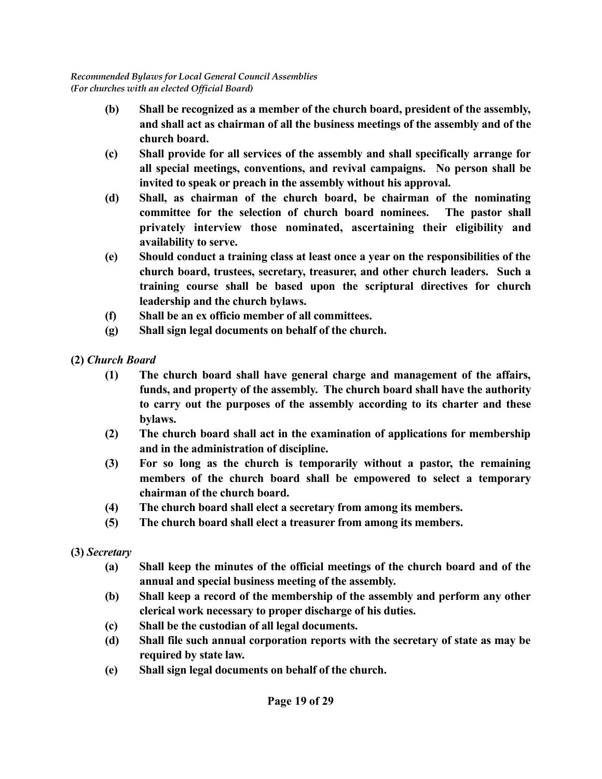- **(b) Shall be recognized as a member of the church board, president of the assembly, and shall act as chairman of all the business meetings of the assembly and of the church board.**
- **(c) Shall provide for all services of the assembly and shall specifically arrange for all special meetings, conventions, and revival campaigns. No person shall be invited to speak or preach in the assembly without his approval.**
- **(d) Shall, as chairman of the church board, be chairman of the nominating committee for the selection of church board nominees. The pastor shall privately interview those nominated, ascertaining their eligibility and availability to serve.**
- **(e) Should conduct a training class at least once a year on the responsibilities of the church board, trustees, secretary, treasurer, and other church leaders. Such a training course shall be based upon the scriptural directives for church leadership and the church bylaws.**
- **(f) Shall be an ex officio member of all committees.**
- **(g) Shall sign legal documents on behalf of the church.**
- **(2)** *Church Board* 
	- **(1) The church board shall have general charge and management of the affairs, funds, and property of the assembly. The church board shall have the authority to carry out the purposes of the assembly according to its charter and these bylaws.**
	- **(2) The church board shall act in the examination of applications for membership and in the administration of discipline.**
	- **(3) For so long as the church is temporarily without a pastor, the remaining members of the church board shall be empowered to select a temporary chairman of the church board.**
	- **(4) The church board shall elect a secretary from among its members.**
	- **(5) The church board shall elect a treasurer from among its members.**
- **(3)** *Secretary* 
	- **(a) Shall keep the minutes of the official meetings of the church board and of the annual and special business meeting of the assembly.**
	- **(b) Shall keep a record of the membership of the assembly and perform any other clerical work necessary to proper discharge of his duties.**
	- **(c) Shall be the custodian of all legal documents.**
	- **(d) Shall file such annual corporation reports with the secretary of state as may be required by state law.**
	- **(e) Shall sign legal documents on behalf of the church.**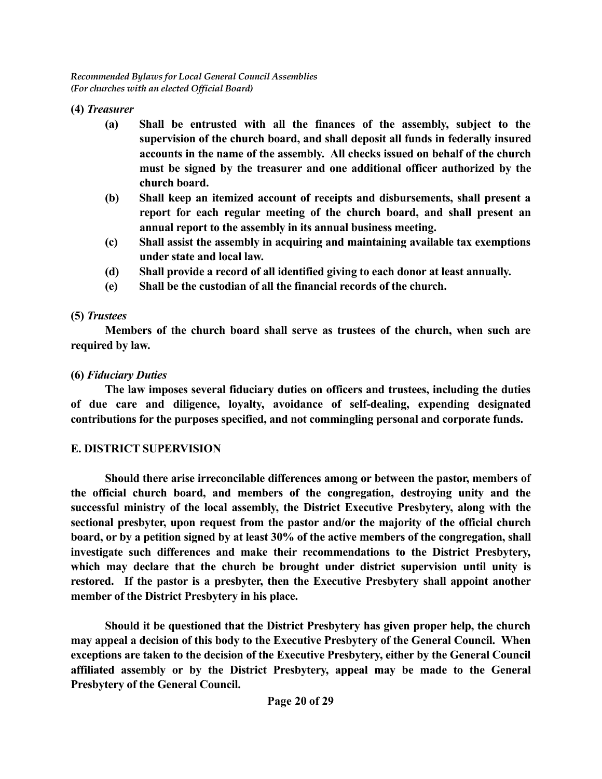- **(4)** *Treasurer* 
	- **(a) Shall be entrusted with all the finances of the assembly, subject to the supervision of the church board, and shall deposit all funds in federally insured accounts in the name of the assembly. All checks issued on behalf of the church must be signed by the treasurer and one additional officer authorized by the church board.**
	- **(b) Shall keep an itemized account of receipts and disbursements, shall present a report for each regular meeting of the church board, and shall present an annual report to the assembly in its annual business meeting.**
	- **(c) Shall assist the assembly in acquiring and maintaining available tax exemptions under state and local law.**
	- **(d) Shall provide a record of all identified giving to each donor at least annually.**
	- **(e) Shall be the custodian of all the financial records of the church.**

### **(5)** *Trustees*

 **Members of the church board shall serve as trustees of the church, when such are required by law.** 

## **(6)** *Fiduciary Duties*

 **The law imposes several fiduciary duties on officers and trustees, including the duties of due care and diligence, loyalty, avoidance of self-dealing, expending designated contributions for the purposes specified, and not commingling personal and corporate funds.** 

## **E. DISTRICT SUPERVISION**

 **Should there arise irreconcilable differences among or between the pastor, members of the official church board, and members of the congregation, destroying unity and the successful ministry of the local assembly, the District Executive Presbytery, along with the sectional presbyter, upon request from the pastor and/or the majority of the official church board, or by a petition signed by at least 30% of the active members of the congregation, shall investigate such differences and make their recommendations to the District Presbytery, which may declare that the church be brought under district supervision until unity is restored. If the pastor is a presbyter, then the Executive Presbytery shall appoint another member of the District Presbytery in his place.** 

 **Should it be questioned that the District Presbytery has given proper help, the church may appeal a decision of this body to the Executive Presbytery of the General Council. When exceptions are taken to the decision of the Executive Presbytery, either by the General Council affiliated assembly or by the District Presbytery, appeal may be made to the General Presbytery of the General Council.**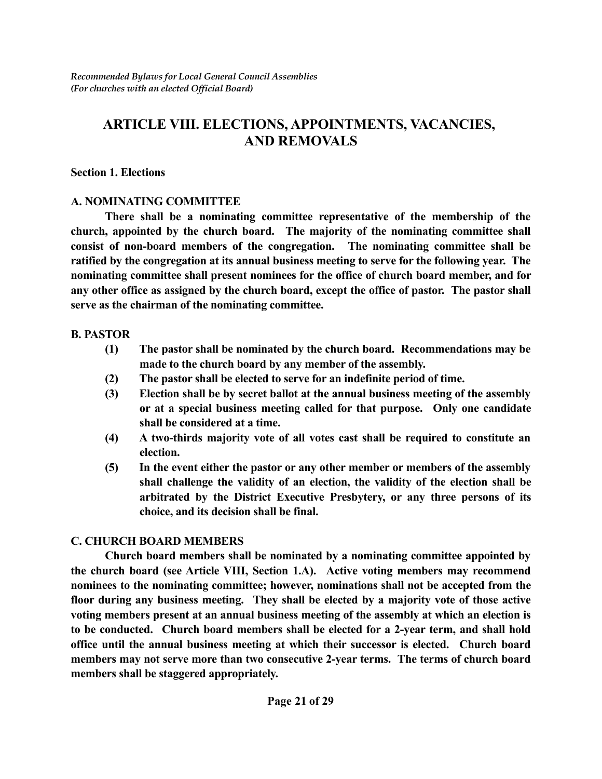## **ARTICLE VIII. ELECTIONS, APPOINTMENTS, VACANCIES, AND REMOVALS**

#### **Section 1. Elections**

### **A. NOMINATING COMMITTEE**

 **There shall be a nominating committee representative of the membership of the church, appointed by the church board. The majority of the nominating committee shall consist of non-board members of the congregation. The nominating committee shall be ratified by the congregation at its annual business meeting to serve for the following year. The nominating committee shall present nominees for the office of church board member, and for any other office as assigned by the church board, except the office of pastor. The pastor shall serve as the chairman of the nominating committee.** 

### **B. PASTOR**

- **(1) The pastor shall be nominated by the church board. Recommendations may be made to the church board by any member of the assembly.**
- **(2) The pastor shall be elected to serve for an indefinite period of time.**
- **(3) Election shall be by secret ballot at the annual business meeting of the assembly or at a special business meeting called for that purpose. Only one candidate shall be considered at a time.**
- **(4) A two-thirds majority vote of all votes cast shall be required to constitute an election.**
- **(5) In the event either the pastor or any other member or members of the assembly shall challenge the validity of an election, the validity of the election shall be arbitrated by the District Executive Presbytery, or any three persons of its choice, and its decision shall be final.**

## **C. CHURCH BOARD MEMBERS**

 **Church board members shall be nominated by a nominating committee appointed by the church board (see Article VIII, Section 1.A). Active voting members may recommend nominees to the nominating committee; however, nominations shall not be accepted from the floor during any business meeting. They shall be elected by a majority vote of those active voting members present at an annual business meeting of the assembly at which an election is to be conducted. Church board members shall be elected for a 2-year term, and shall hold office until the annual business meeting at which their successor is elected. Church board members may not serve more than two consecutive 2-year terms. The terms of church board members shall be staggered appropriately.**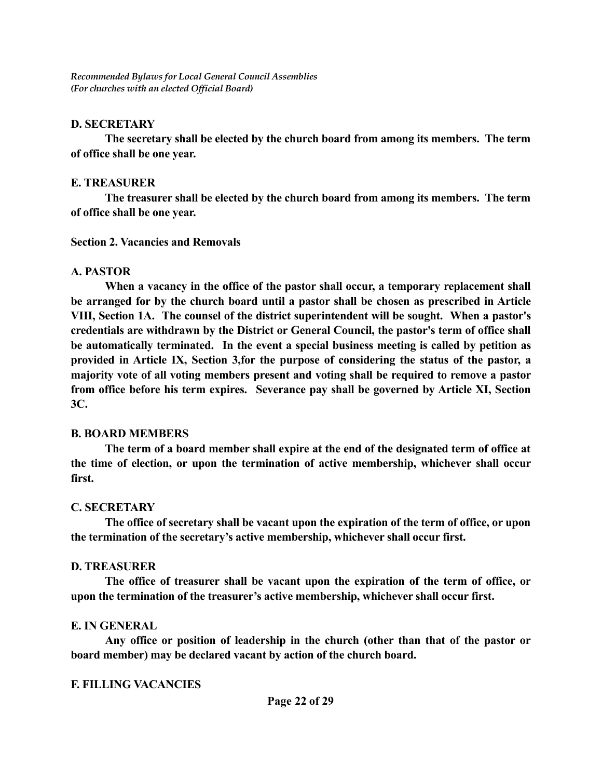#### **D. SECRETARY**

 **The secretary shall be elected by the church board from among its members. The term of office shall be one year.** 

#### **E. TREASURER**

 **The treasurer shall be elected by the church board from among its members. The term of office shall be one year.** 

#### **Section 2. Vacancies and Removals**

#### **A. PASTOR**

 **When a vacancy in the office of the pastor shall occur, a temporary replacement shall be arranged for by the church board until a pastor shall be chosen as prescribed in Article VIII, Section 1A. The counsel of the district superintendent will be sought. When a pastor's credentials are withdrawn by the District or General Council, the pastor's term of office shall be automatically terminated. In the event a special business meeting is called by petition as provided in Article IX, Section 3,for the purpose of considering the status of the pastor, a majority vote of all voting members present and voting shall be required to remove a pastor from office before his term expires. Severance pay shall be governed by Article XI, Section 3C.** 

#### **B. BOARD MEMBERS**

 **The term of a board member shall expire at the end of the designated term of office at the time of election, or upon the termination of active membership, whichever shall occur first.** 

#### **C. SECRETARY**

 **The office of secretary shall be vacant upon the expiration of the term of office, or upon the termination of the secretary's active membership, whichever shall occur first.** 

#### **D. TREASURER**

 **The office of treasurer shall be vacant upon the expiration of the term of office, or upon the termination of the treasurer's active membership, whichever shall occur first.** 

#### **E. IN GENERAL**

 **Any office or position of leadership in the church (other than that of the pastor or board member) may be declared vacant by action of the church board.** 

#### **F. FILLING VACANCIES**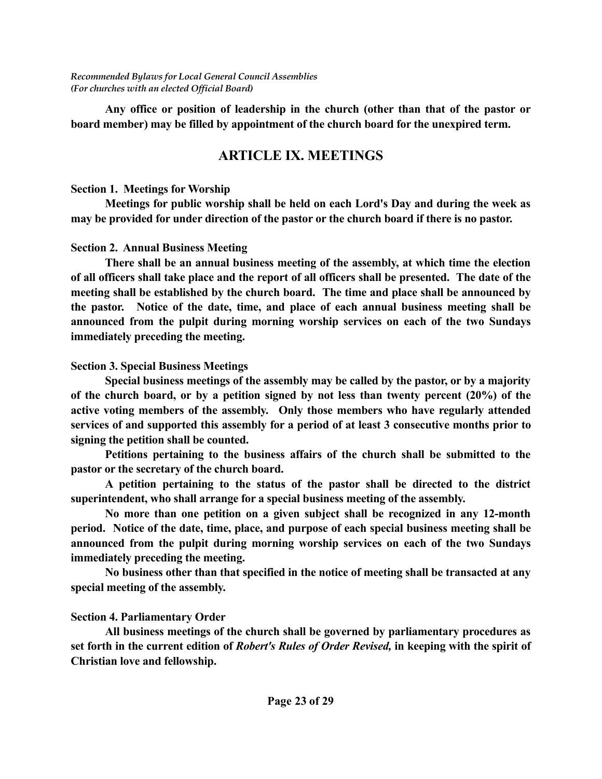**Any office or position of leadership in the church (other than that of the pastor or board member) may be filled by appointment of the church board for the unexpired term.** 

# **ARTICLE IX. MEETINGS**

#### **Section 1. Meetings for Worship**

 **Meetings for public worship shall be held on each Lord's Day and during the week as may be provided for under direction of the pastor or the church board if there is no pastor.** 

### **Section 2. Annual Business Meeting**

 **There shall be an annual business meeting of the assembly, at which time the election of all officers shall take place and the report of all officers shall be presented. The date of the meeting shall be established by the church board. The time and place shall be announced by the pastor. Notice of the date, time, and place of each annual business meeting shall be announced from the pulpit during morning worship services on each of the two Sundays immediately preceding the meeting.** 

### **Section 3. Special Business Meetings**

 **Special business meetings of the assembly may be called by the pastor, or by a majority of the church board, or by a petition signed by not less than twenty percent (20%) of the active voting members of the assembly. Only those members who have regularly attended services of and supported this assembly for a period of at least 3 consecutive months prior to signing the petition shall be counted.** 

 **Petitions pertaining to the business affairs of the church shall be submitted to the pastor or the secretary of the church board.** 

 **A petition pertaining to the status of the pastor shall be directed to the district superintendent, who shall arrange for a special business meeting of the assembly.** 

 **No more than one petition on a given subject shall be recognized in any 12-month period. Notice of the date, time, place, and purpose of each special business meeting shall be announced from the pulpit during morning worship services on each of the two Sundays immediately preceding the meeting.** 

 **No business other than that specified in the notice of meeting shall be transacted at any special meeting of the assembly.** 

### **Section 4. Parliamentary Order**

 **All business meetings of the church shall be governed by parliamentary procedures as set forth in the current edition of** *Robert's Rules of Order Revised,* **in keeping with the spirit of Christian love and fellowship.**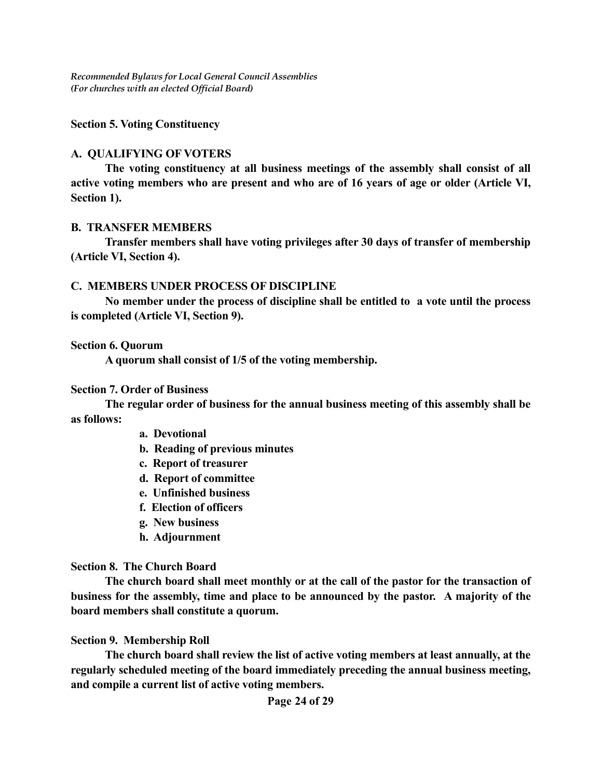#### **Section 5. Voting Constituency**

#### **A. QUALIFYING OF VOTERS**

 **The voting constituency at all business meetings of the assembly shall consist of all active voting members who are present and who are of 16 years of age or older (Article VI, Section 1).** 

#### **B. TRANSFER MEMBERS**

 **Transfer members shall have voting privileges after 30 days of transfer of membership (Article VI, Section 4).** 

#### **C. MEMBERS UNDER PROCESS OF DISCIPLINE**

 **No member under the process of discipline shall be entitled to a vote until the process is completed (Article VI, Section 9).** 

#### **Section 6. Quorum**

 **A quorum shall consist of 1/5 of the voting membership.** 

#### **Section 7. Order of Business**

 **The regular order of business for the annual business meeting of this assembly shall be as follows:** 

- **a. Devotional**
- **b. Reading of previous minutes**
- **c. Report of treasurer**
- **d. Report of committee**
- **e. Unfinished business**
- **f. Election of officers**
- **g. New business**
- **h. Adjournment**

#### **Section 8. The Church Board**

 **The church board shall meet monthly or at the call of the pastor for the transaction of business for the assembly, time and place to be announced by the pastor. A majority of the board members shall constitute a quorum.** 

#### **Section 9. Membership Roll**

 **The church board shall review the list of active voting members at least annually, at the regularly scheduled meeting of the board immediately preceding the annual business meeting, and compile a current list of active voting members.**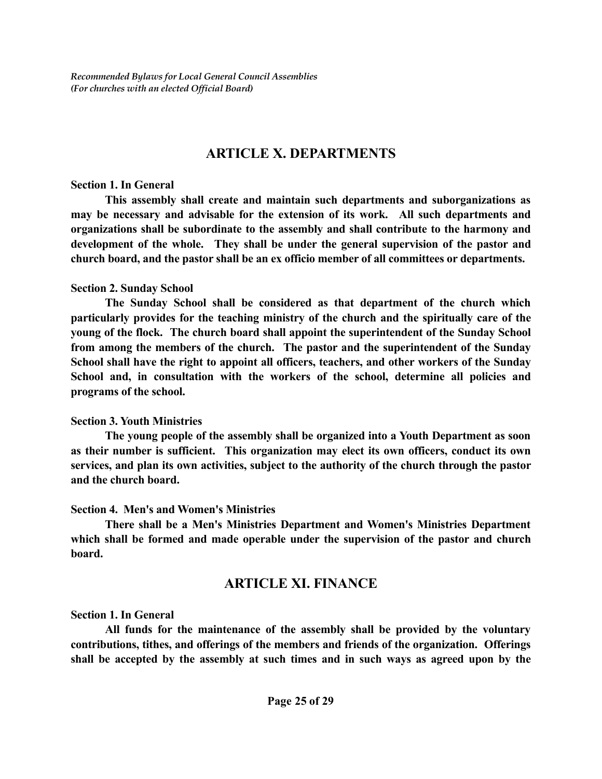## **ARTICLE X. DEPARTMENTS**

#### **Section 1. In General**

 **This assembly shall create and maintain such departments and suborganizations as may be necessary and advisable for the extension of its work. All such departments and organizations shall be subordinate to the assembly and shall contribute to the harmony and development of the whole. They shall be under the general supervision of the pastor and church board, and the pastor shall be an ex officio member of all committees or departments.** 

#### **Section 2. Sunday School**

 **The Sunday School shall be considered as that department of the church which particularly provides for the teaching ministry of the church and the spiritually care of the young of the flock. The church board shall appoint the superintendent of the Sunday School from among the members of the church. The pastor and the superintendent of the Sunday School shall have the right to appoint all officers, teachers, and other workers of the Sunday School and, in consultation with the workers of the school, determine all policies and programs of the school.** 

### **Section 3. Youth Ministries**

 **The young people of the assembly shall be organized into a Youth Department as soon as their number is sufficient. This organization may elect its own officers, conduct its own services, and plan its own activities, subject to the authority of the church through the pastor and the church board.** 

#### **Section 4. Men's and Women's Ministries**

 **There shall be a Men's Ministries Department and Women's Ministries Department which shall be formed and made operable under the supervision of the pastor and church board.** 

## **ARTICLE XI. FINANCE**

**Section 1. In General** 

 **All funds for the maintenance of the assembly shall be provided by the voluntary contributions, tithes, and offerings of the members and friends of the organization. Offerings shall be accepted by the assembly at such times and in such ways as agreed upon by the**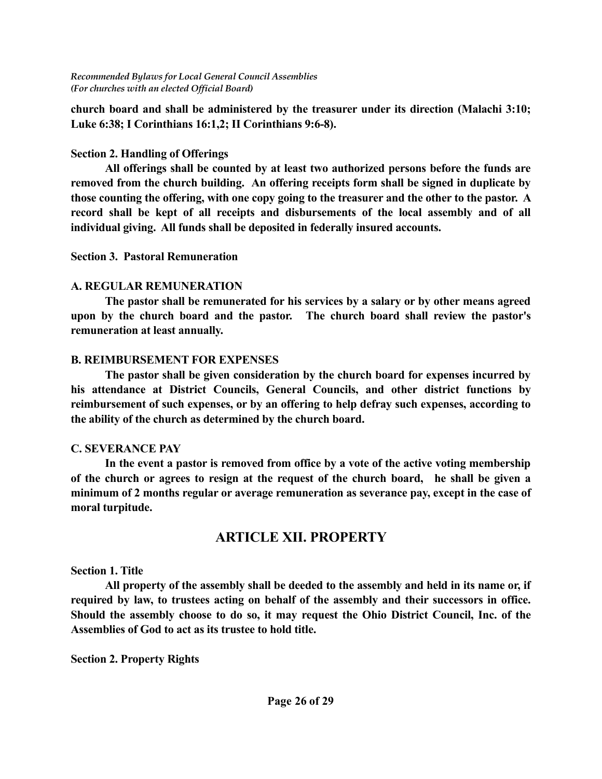**church board and shall be administered by the treasurer under its direction (Malachi 3:10; Luke 6:38; I Corinthians 16:1,2; II Corinthians 9:6-8).** 

### **Section 2. Handling of Offerings**

 **All offerings shall be counted by at least two authorized persons before the funds are removed from the church building. An offering receipts form shall be signed in duplicate by those counting the offering, with one copy going to the treasurer and the other to the pastor. A record shall be kept of all receipts and disbursements of the local assembly and of all individual giving. All funds shall be deposited in federally insured accounts.** 

### **Section 3. Pastoral Remuneration**

### **A. REGULAR REMUNERATION**

 **The pastor shall be remunerated for his services by a salary or by other means agreed upon by the church board and the pastor. The church board shall review the pastor's remuneration at least annually.** 

### **B. REIMBURSEMENT FOR EXPENSES**

 **The pastor shall be given consideration by the church board for expenses incurred by his attendance at District Councils, General Councils, and other district functions by reimbursement of such expenses, or by an offering to help defray such expenses, according to the ability of the church as determined by the church board.** 

### **C. SEVERANCE PAY**

 **In the event a pastor is removed from office by a vote of the active voting membership of the church or agrees to resign at the request of the church board, he shall be given a minimum of 2 months regular or average remuneration as severance pay, except in the case of moral turpitude.** 

# **ARTICLE XII. PROPERTY**

## **Section 1. Title**

 **All property of the assembly shall be deeded to the assembly and held in its name or, if required by law, to trustees acting on behalf of the assembly and their successors in office. Should the assembly choose to do so, it may request the Ohio District Council, Inc. of the Assemblies of God to act as its trustee to hold title.** 

**Section 2. Property Rights**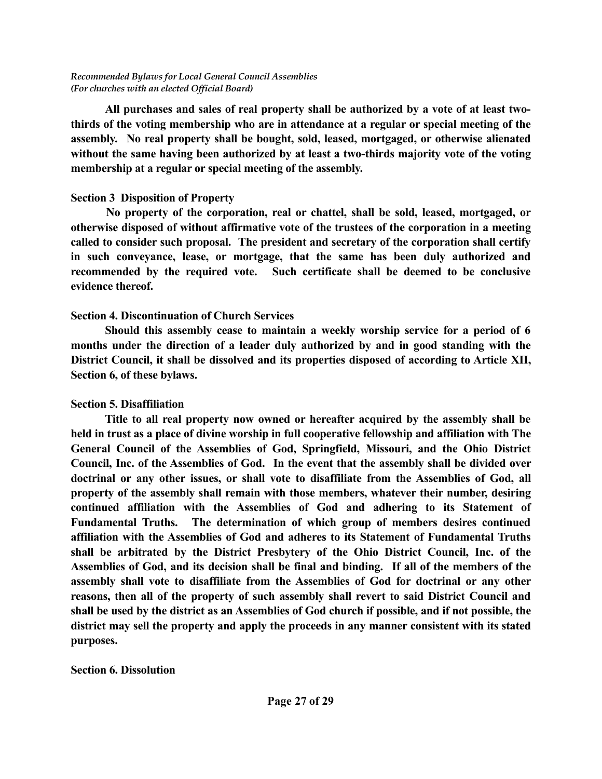**All purchases and sales of real property shall be authorized by a vote of at least twothirds of the voting membership who are in attendance at a regular or special meeting of the assembly. No real property shall be bought, sold, leased, mortgaged, or otherwise alienated without the same having been authorized by at least a two-thirds majority vote of the voting membership at a regular or special meeting of the assembly.** 

#### **Section 3 Disposition of Property**

 **No property of the corporation, real or chattel, shall be sold, leased, mortgaged, or otherwise disposed of without affirmative vote of the trustees of the corporation in a meeting called to consider such proposal. The president and secretary of the corporation shall certify in such conveyance, lease, or mortgage, that the same has been duly authorized and recommended by the required vote. Such certificate shall be deemed to be conclusive evidence thereof.** 

### **Section 4. Discontinuation of Church Services**

 **Should this assembly cease to maintain a weekly worship service for a period of 6 months under the direction of a leader duly authorized by and in good standing with the District Council, it shall be dissolved and its properties disposed of according to Article XII, Section 6, of these bylaws.** 

### **Section 5. Disaffiliation**

 **Title to all real property now owned or hereafter acquired by the assembly shall be held in trust as a place of divine worship in full cooperative fellowship and affiliation with The General Council of the Assemblies of God, Springfield, Missouri, and the Ohio District Council, Inc. of the Assemblies of God. In the event that the assembly shall be divided over doctrinal or any other issues, or shall vote to disaffiliate from the Assemblies of God, all property of the assembly shall remain with those members, whatever their number, desiring continued affiliation with the Assemblies of God and adhering to its Statement of Fundamental Truths. The determination of which group of members desires continued affiliation with the Assemblies of God and adheres to its Statement of Fundamental Truths shall be arbitrated by the District Presbytery of the Ohio District Council, Inc. of the Assemblies of God, and its decision shall be final and binding. If all of the members of the assembly shall vote to disaffiliate from the Assemblies of God for doctrinal or any other reasons, then all of the property of such assembly shall revert to said District Council and shall be used by the district as an Assemblies of God church if possible, and if not possible, the district may sell the property and apply the proceeds in any manner consistent with its stated purposes.** 

### **Section 6. Dissolution**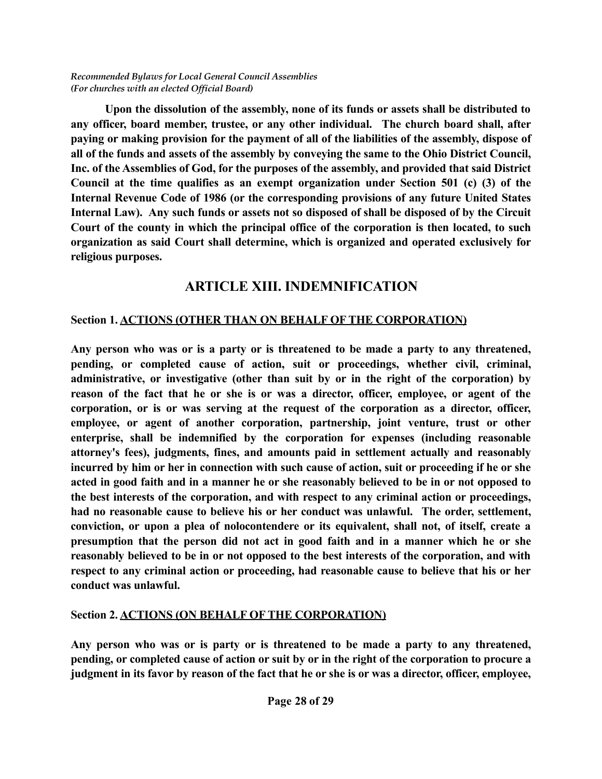**Upon the dissolution of the assembly, none of its funds or assets shall be distributed to any officer, board member, trustee, or any other individual. The church board shall, after paying or making provision for the payment of all of the liabilities of the assembly, dispose of all of the funds and assets of the assembly by conveying the same to the Ohio District Council, Inc. of the Assemblies of God, for the purposes of the assembly, and provided that said District Council at the time qualifies as an exempt organization under Section 501 (c) (3) of the Internal Revenue Code of 1986 (or the corresponding provisions of any future United States Internal Law). Any such funds or assets not so disposed of shall be disposed of by the Circuit Court of the county in which the principal office of the corporation is then located, to such organization as said Court shall determine, which is organized and operated exclusively for religious purposes.** 

## **ARTICLE XIII. INDEMNIFICATION**

#### **Section 1. ACTIONS (OTHER THAN ON BEHALF OF THE CORPORATION)**

**Any person who was or is a party or is threatened to be made a party to any threatened, pending, or completed cause of action, suit or proceedings, whether civil, criminal, administrative, or investigative (other than suit by or in the right of the corporation) by reason of the fact that he or she is or was a director, officer, employee, or agent of the corporation, or is or was serving at the request of the corporation as a director, officer, employee, or agent of another corporation, partnership, joint venture, trust or other enterprise, shall be indemnified by the corporation for expenses (including reasonable attorney's fees), judgments, fines, and amounts paid in settlement actually and reasonably incurred by him or her in connection with such cause of action, suit or proceeding if he or she acted in good faith and in a manner he or she reasonably believed to be in or not opposed to the best interests of the corporation, and with respect to any criminal action or proceedings, had no reasonable cause to believe his or her conduct was unlawful. The order, settlement, conviction, or upon a plea of nolocontendere or its equivalent, shall not, of itself, create a presumption that the person did not act in good faith and in a manner which he or she reasonably believed to be in or not opposed to the best interests of the corporation, and with respect to any criminal action or proceeding, had reasonable cause to believe that his or her conduct was unlawful.** 

#### **Section 2. ACTIONS (ON BEHALF OF THE CORPORATION)**

**Any person who was or is party or is threatened to be made a party to any threatened, pending, or completed cause of action or suit by or in the right of the corporation to procure a judgment in its favor by reason of the fact that he or she is or was a director, officer, employee,**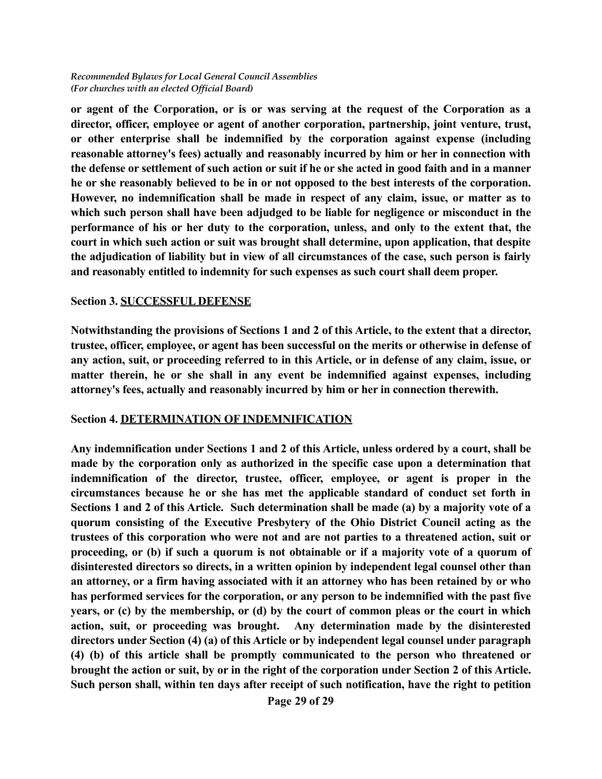**or agent of the Corporation, or is or was serving at the request of the Corporation as a director, officer, employee or agent of another corporation, partnership, joint venture, trust, or other enterprise shall be indemnified by the corporation against expense (including reasonable attorney's fees) actually and reasonably incurred by him or her in connection with the defense or settlement of such action or suit if he or she acted in good faith and in a manner he or she reasonably believed to be in or not opposed to the best interests of the corporation. However, no indemnification shall be made in respect of any claim, issue, or matter as to which such person shall have been adjudged to be liable for negligence or misconduct in the performance of his or her duty to the corporation, unless, and only to the extent that, the court in which such action or suit was brought shall determine, upon application, that despite the adjudication of liability but in view of all circumstances of the case, such person is fairly and reasonably entitled to indemnity for such expenses as such court shall deem proper.** 

#### **Section 3. SUCCESSFUL DEFENSE**

**Notwithstanding the provisions of Sections 1 and 2 of this Article, to the extent that a director, trustee, officer, employee, or agent has been successful on the merits or otherwise in defense of any action, suit, or proceeding referred to in this Article, or in defense of any claim, issue, or matter therein, he or she shall in any event be indemnified against expenses, including attorney's fees, actually and reasonably incurred by him or her in connection therewith.** 

#### **Section 4. DETERMINATION OF INDEMNIFICATION**

**Any indemnification under Sections 1 and 2 of this Article, unless ordered by a court, shall be made by the corporation only as authorized in the specific case upon a determination that indemnification of the director, trustee, officer, employee, or agent is proper in the circumstances because he or she has met the applicable standard of conduct set forth in Sections 1 and 2 of this Article. Such determination shall be made (a) by a majority vote of a quorum consisting of the Executive Presbytery of the Ohio District Council acting as the trustees of this corporation who were not and are not parties to a threatened action, suit or proceeding, or (b) if such a quorum is not obtainable or if a majority vote of a quorum of disinterested directors so directs, in a written opinion by independent legal counsel other than an attorney, or a firm having associated with it an attorney who has been retained by or who has performed services for the corporation, or any person to be indemnified with the past five years, or (c) by the membership, or (d) by the court of common pleas or the court in which action, suit, or proceeding was brought. Any determination made by the disinterested directors under Section (4) (a) of this Article or by independent legal counsel under paragraph (4) (b) of this article shall be promptly communicated to the person who threatened or brought the action or suit, by or in the right of the corporation under Section 2 of this Article. Such person shall, within ten days after receipt of such notification, have the right to petition**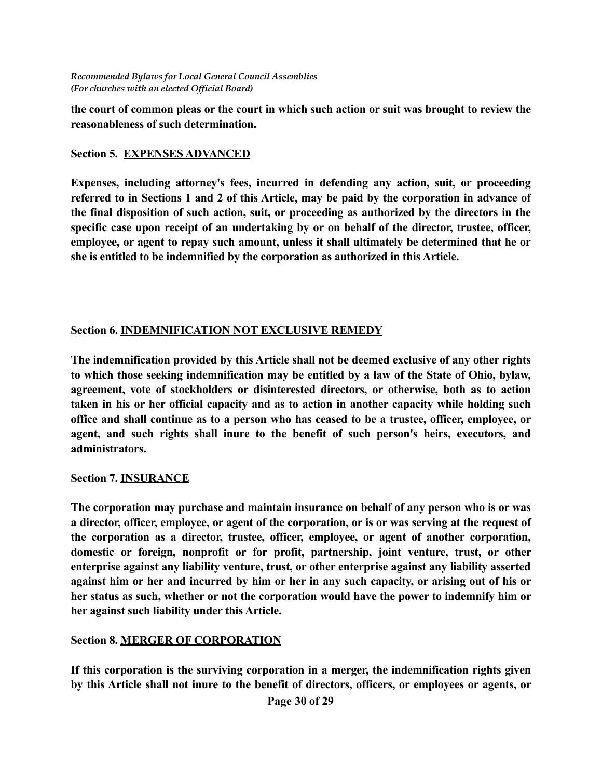**the court of common pleas or the court in which such action or suit was brought to review the reasonableness of such determination.** 

#### **Section 5. EXPENSES ADVANCED**

**Expenses, including attorney's fees, incurred in defending any action, suit, or proceeding referred to in Sections 1 and 2 of this Article, may be paid by the corporation in advance of the final disposition of such action, suit, or proceeding as authorized by the directors in the specific case upon receipt of an undertaking by or on behalf of the director, trustee, officer, employee, or agent to repay such amount, unless it shall ultimately be determined that he or she is entitled to be indemnified by the corporation as authorized in this Article.** 

#### **Section 6. INDEMNIFICATION NOT EXCLUSIVE REMEDY**

**The indemnification provided by this Article shall not be deemed exclusive of any other rights to which those seeking indemnification may be entitled by a law of the State of Ohio, bylaw, agreement, vote of stockholders or disinterested directors, or otherwise, both as to action taken in his or her official capacity and as to action in another capacity while holding such office and shall continue as to a person who has ceased to be a trustee, officer, employee, or agent, and such rights shall inure to the benefit of such person's heirs, executors, and administrators.** 

#### **Section 7. INSURANCE**

**The corporation may purchase and maintain insurance on behalf of any person who is or was a director, officer, employee, or agent of the corporation, or is or was serving at the request of the corporation as a director, trustee, officer, employee, or agent of another corporation, domestic or foreign, nonprofit or for profit, partnership, joint venture, trust, or other enterprise against any liability venture, trust, or other enterprise against any liability asserted against him or her and incurred by him or her in any such capacity, or arising out of his or her status as such, whether or not the corporation would have the power to indemnify him or her against such liability under this Article.** 

#### **Section 8. MERGER OF CORPORATION**

**If this corporation is the surviving corporation in a merger, the indemnification rights given by this Article shall not inure to the benefit of directors, officers, or employees or agents, or**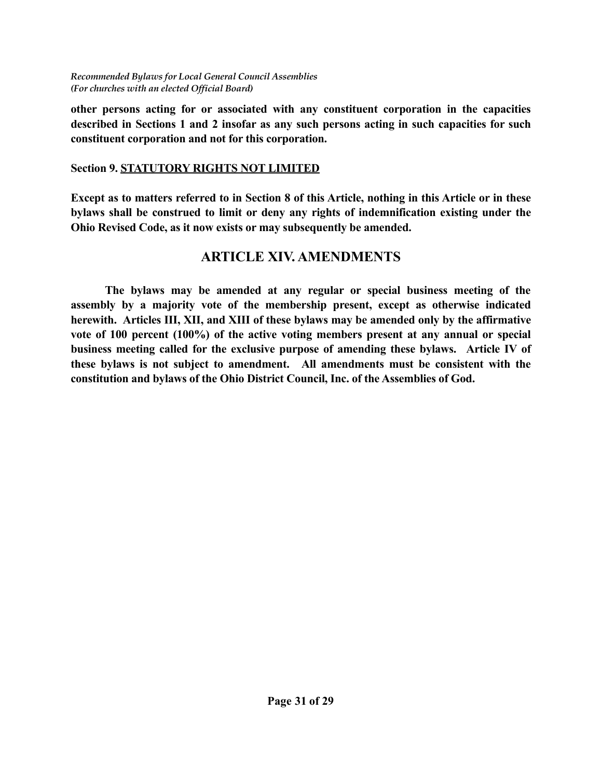**other persons acting for or associated with any constituent corporation in the capacities described in Sections 1 and 2 insofar as any such persons acting in such capacities for such constituent corporation and not for this corporation.** 

### **Section 9. STATUTORY RIGHTS NOT LIMITED**

**Except as to matters referred to in Section 8 of this Article, nothing in this Article or in these bylaws shall be construed to limit or deny any rights of indemnification existing under the Ohio Revised Code, as it now exists or may subsequently be amended.** 

## **ARTICLE XIV. AMENDMENTS**

 **The bylaws may be amended at any regular or special business meeting of the assembly by a majority vote of the membership present, except as otherwise indicated herewith. Articles III, XII, and XIII of these bylaws may be amended only by the affirmative vote of 100 percent (100%) of the active voting members present at any annual or special business meeting called for the exclusive purpose of amending these bylaws. Article IV of these bylaws is not subject to amendment. All amendments must be consistent with the constitution and bylaws of the Ohio District Council, Inc. of the Assemblies of God.**